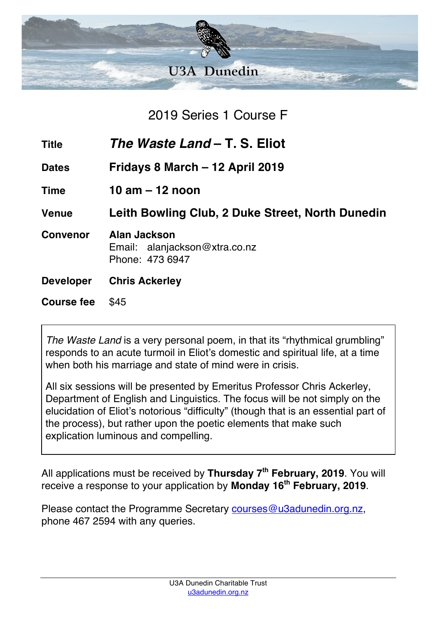

2019 Series 1 Course F

**Title** *The Waste Land* **– T. S. Eliot**

**Dates Fridays 8 March – 12 April 2019**

**Time 10 am – 12 noon**

**Venue Leith Bowling Club, 2 Duke Street, North Dunedin**

- **Convenor Alan Jackson** Email: alanjackson@xtra.co.nz Phone: 473 6947
- **Developer Chris Ackerley**
- **Course fee** \$45

*The Waste Land* is a very personal poem, in that its "rhythmical grumbling" responds to an acute turmoil in Eliot's domestic and spiritual life, at a time when both his marriage and state of mind were in crisis.

All six sessions will be presented by Emeritus Professor Chris Ackerley, Department of English and Linguistics. The focus will be not simply on the elucidation of Eliot's notorious "difficulty" (though that is an essential part of the process), but rather upon the poetic elements that make such explication luminous and compelling.

All applications must be received by **Thursday 7th February, 2019**. You will receive a response to your application by **Monday 16th February, 2019**.

Please contact the Programme Secretary courses@u3adunedin.org.nz, phone 467 2594 with any queries.